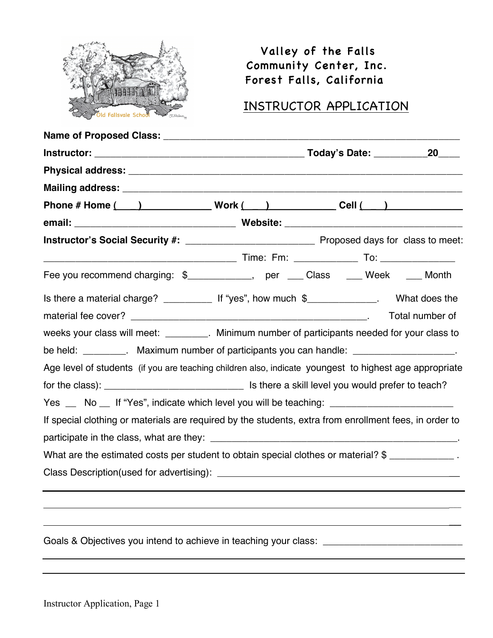

## Valley of the Falls Community Center, Inc. Forest Falls, California

## INSTRUCTOR APPLICATION

| Phone # Home $($ $)$ Work $($ $)$ Cell $($ $)$                                                         |  |                 |
|--------------------------------------------------------------------------------------------------------|--|-----------------|
|                                                                                                        |  |                 |
|                                                                                                        |  |                 |
|                                                                                                        |  |                 |
| Fee you recommend charging: \$____________, per ___ Class ___ Week ___ Month                           |  |                 |
| Is there a material charge? ______________ If "yes", how much \$_______________. What does the         |  |                 |
|                                                                                                        |  | Total number of |
| weeks your class will meet: _________. Minimum number of participants needed for your class to         |  |                 |
| be held: _________. Maximum number of participants you can handle: ______________                      |  |                 |
| Age level of students (if you are teaching children also, indicate youngest to highest age appropriate |  |                 |
|                                                                                                        |  |                 |
| Yes _ No _ If "Yes", indicate which level you will be teaching: _________________                      |  |                 |
| If special clothing or materials are required by the students, extra from enrollment fees, in order to |  |                 |
|                                                                                                        |  |                 |
| What are the estimated costs per student to obtain special clothes or material? \$                     |  |                 |
|                                                                                                        |  |                 |
|                                                                                                        |  |                 |
|                                                                                                        |  |                 |
|                                                                                                        |  |                 |
| Goals & Objectives you intend to achieve in teaching your class: __________________________________    |  |                 |